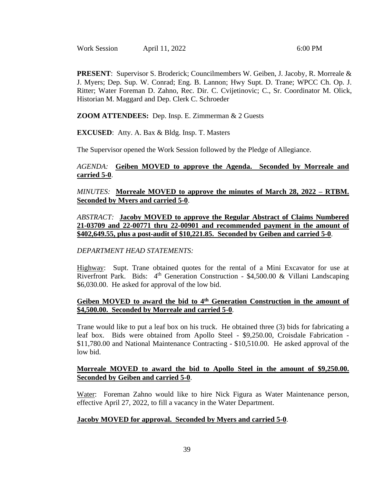Work Session **April 11, 2022** 6:00 PM

**PRESENT**: Supervisor S. Broderick; Councilmembers W. Geiben, J. Jacoby, R. Morreale & J. Myers; Dep. Sup. W. Conrad; Eng. B. Lannon; Hwy Supt. D. Trane; WPCC Ch. Op. J. Ritter; Water Foreman D. Zahno, Rec. Dir. C. Cvijetinovic; C., Sr. Coordinator M. Olick, Historian M. Maggard and Dep. Clerk C. Schroeder

**ZOOM ATTENDEES:** Dep. Insp. E. Zimmerman & 2 Guests

**EXCUSED**: Atty. A. Bax & Bldg. Insp. T. Masters

The Supervisor opened the Work Session followed by the Pledge of Allegiance.

### *AGENDA:* **Geiben MOVED to approve the Agenda. Seconded by Morreale and carried 5-0**.

*MINUTES:* **Morreale MOVED to approve the minutes of March 28, 2022 – RTBM. Seconded by Myers and carried 5-0**.

*ABSTRACT:* **Jacoby MOVED to approve the Regular Abstract of Claims Numbered 21-03709 and 22-00771 thru 22-00901 and recommended payment in the amount of \$402,649.55, plus a post-audit of \$10,221.85. Seconded by Geiben and carried 5-0**.

### *DEPARTMENT HEAD STATEMENTS:*

Highway: Supt. Trane obtained quotes for the rental of a Mini Excavator for use at Riverfront Park. Bids:  $4<sup>th</sup>$  Generation Construction - \$4,500.00 & Villani Landscaping \$6,030.00. He asked for approval of the low bid.

### **Geiben MOVED to award the bid to 4th Generation Construction in the amount of \$4,500.00. Seconded by Morreale and carried 5-0**.

Trane would like to put a leaf box on his truck. He obtained three (3) bids for fabricating a leaf box. Bids were obtained from Apollo Steel - \$9,250.00, Croisdale Fabrication - \$11,780.00 and National Maintenance Contracting - \$10,510.00. He asked approval of the low bid.

## **Morreale MOVED to award the bid to Apollo Steel in the amount of \$9,250.00. Seconded by Geiben and carried 5-0**.

Water: Foreman Zahno would like to hire Nick Figura as Water Maintenance person, effective April 27, 2022, to fill a vacancy in the Water Department.

### **Jacoby MOVED for approval. Seconded by Myers and carried 5-0**.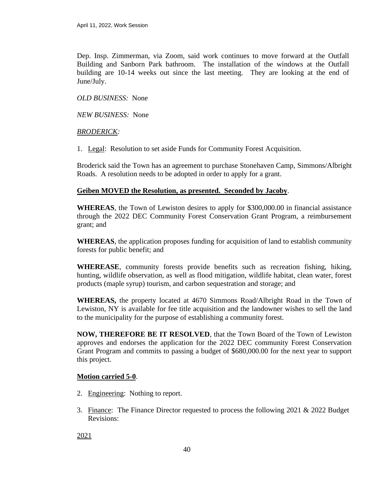Dep. Insp. Zimmerman, via Zoom, said work continues to move forward at the Outfall Building and Sanborn Park bathroom. The installation of the windows at the Outfall building are 10-14 weeks out since the last meeting. They are looking at the end of June/July.

# *OLD BUSINESS:* None

*NEW BUSINESS:* None

### *BRODERICK:*

1. Legal: Resolution to set aside Funds for Community Forest Acquisition.

Broderick said the Town has an agreement to purchase Stonehaven Camp, Simmons/Albright Roads. A resolution needs to be adopted in order to apply for a grant.

## **Geiben MOVED the Resolution, as presented. Seconded by Jacoby**.

**WHEREAS**, the Town of Lewiston desires to apply for \$300,000.00 in financial assistance through the 2022 DEC Community Forest Conservation Grant Program, a reimbursement grant; and

**WHEREAS**, the application proposes funding for acquisition of land to establish community forests for public benefit; and

**WHEREASE**, community forests provide benefits such as recreation fishing, hiking, hunting, wildlife observation, as well as flood mitigation, wildlife habitat, clean water, forest products (maple syrup) tourism, and carbon sequestration and storage; and

**WHEREAS,** the property located at 4670 Simmons Road/Albright Road in the Town of Lewiston, NY is available for fee title acquisition and the landowner wishes to sell the land to the municipality for the purpose of establishing a community forest.

**NOW, THEREFORE BE IT RESOLVED**, that the Town Board of the Town of Lewiston approves and endorses the application for the 2022 DEC community Forest Conservation Grant Program and commits to passing a budget of \$680,000.00 for the next year to support this project.

# **Motion carried 5-0**.

- 2. Engineering: Nothing to report.
- 3. Finance: The Finance Director requested to process the following 2021 & 2022 Budget Revisions:

2021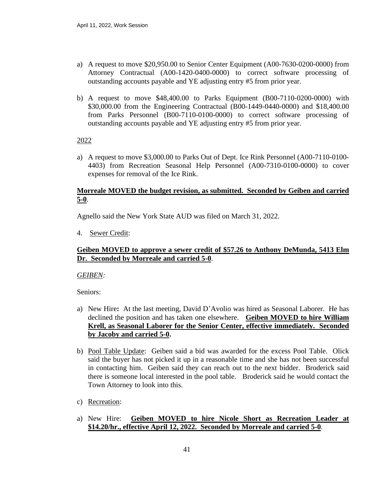- a) A request to move \$20,950.00 to Senior Center Equipment (A00-7630-0200-0000) from Attorney Contractual (A00-1420-0400-0000) to correct software processing of outstanding accounts payable and YE adjusting entry #5 from prior year.
- b) A request to move \$48,400.00 to Parks Equipment (B00-7110-0200-0000) with \$30,000.00 from the Engineering Contractual (B00-1449-0440-0000) and \$18,400.00 from Parks Personnel (B00-7110-0100-0000) to correct software processing of outstanding accounts payable and YE adjusting entry #5 from prior year.

2022

a) A request to move \$3,000.00 to Parks Out of Dept. Ice Rink Personnel (A00-7110-0100- 4403) from Recreation Seasonal Help Personnel (A00-7310-0100-0000) to cover expenses for removal of the Ice Rink.

## **Morreale MOVED the budget revision, as submitted. Seconded by Geiben and carried 5-0**.

Agnello said the New York State AUD was filed on March 31, 2022.

4. Sewer Credit:

## **Geiben MOVED to approve a sewer credit of \$57.26 to Anthony DeMunda, 5413 Elm Dr. Seconded by Morreale and carried 5-0**.

*GEIBEN:*

Seniors:

- a) New Hire**:** At the last meeting, David D'Avolio was hired as Seasonal Laborer. He has declined the position and has taken one elsewhere. **Geiben MOVED to hire William Krell, as Seasonal Laborer for the Senior Center, effective immediately. Seconded by Jacoby and carried 5-0.**
- b) Pool Table Update: Geiben said a bid was awarded for the excess Pool Table. Olick said the buyer has not picked it up in a reasonable time and she has not been successful in contacting him. Geiben said they can reach out to the next bidder. Broderick said there is someone local interested in the pool table. Broderick said he would contact the Town Attorney to look into this.
- c) Recreation:
- a) New Hire: **Geiben MOVED to hire Nicole Short as Recreation Leader at \$14.20/hr., effective April 12, 2022. Seconded by Morreale and carried 5-0**.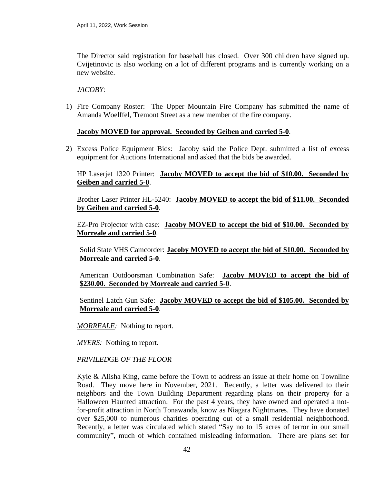The Director said registration for baseball has closed. Over 300 children have signed up. Cvijetinovic is also working on a lot of different programs and is currently working on a new website.

### *JACOBY:*

1) Fire Company Roster: The Upper Mountain Fire Company has submitted the name of Amanda Woelffel, Tremont Street as a new member of the fire company.

## **Jacoby MOVED for approval. Seconded by Geiben and carried 5-0**.

2) Excess Police Equipment Bids: Jacoby said the Police Dept. submitted a list of excess equipment for Auctions International and asked that the bids be awarded.

# HP Laserjet 1320 Printer: **Jacoby MOVED to accept the bid of \$10.00. Seconded by Geiben and carried 5-0**.

Brother Laser Printer HL-5240: **Jacoby MOVED to accept the bid of \$11.00. Seconded by Geiben and carried 5-0**.

EZ-Pro Projector with case: **Jacoby MOVED to accept the bid of \$10.00. Seconded by Morreale and carried 5-0**.

Solid State VHS Camcorder: **Jacoby MOVED to accept the bid of \$10.00. Seconded by Morreale and carried 5-0**.

American Outdoorsman Combination Safe: **Jacoby MOVED to accept the bid of \$230.00. Seconded by Morreale and carried 5-0**.

Sentinel Latch Gun Safe: **Jacoby MOVED to accept the bid of \$105.00. Seconded by Morreale and carried 5-0**.

*MORREALE:* Nothing to report.

*MYERS:* Nothing to report.

*PRIVILED*GE *OF THE FLOOR* –

Kyle & Alisha King, came before the Town to address an issue at their home on Townline Road. They move here in November, 2021. Recently, a letter was delivered to their neighbors and the Town Building Department regarding plans on their property for a Halloween Haunted attraction. For the past 4 years, they have owned and operated a notfor-profit attraction in North Tonawanda, know as Niagara Nightmares. They have donated over \$25,000 to numerous charities operating out of a small residential neighborhood. Recently, a letter was circulated which stated "Say no to 15 acres of terror in our small community", much of which contained misleading information. There are plans set for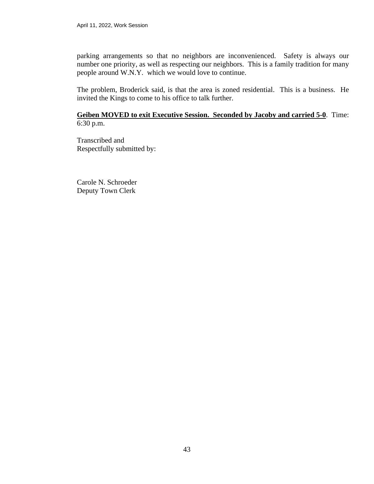parking arrangements so that no neighbors are inconvenienced. Safety is always our number one priority, as well as respecting our neighbors. This is a family tradition for many people around W.N.Y. which we would love to continue.

The problem, Broderick said, is that the area is zoned residential. This is a business. He invited the Kings to come to his office to talk further.

### **Geiben MOVED to exit Executive Session. Seconded by Jacoby and carried 5-0**. Time: 6:30 p.m.

Transcribed and Respectfully submitted by:

Carole N. Schroeder Deputy Town Clerk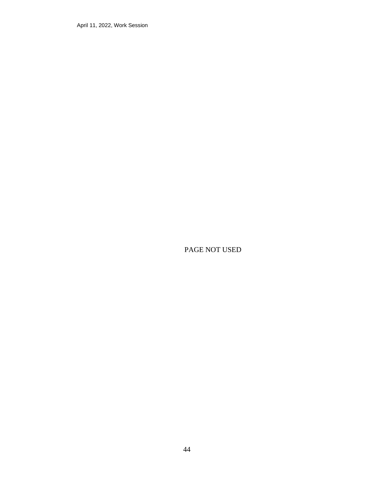April 11, 2022, Work Session

PAGE NOT USED